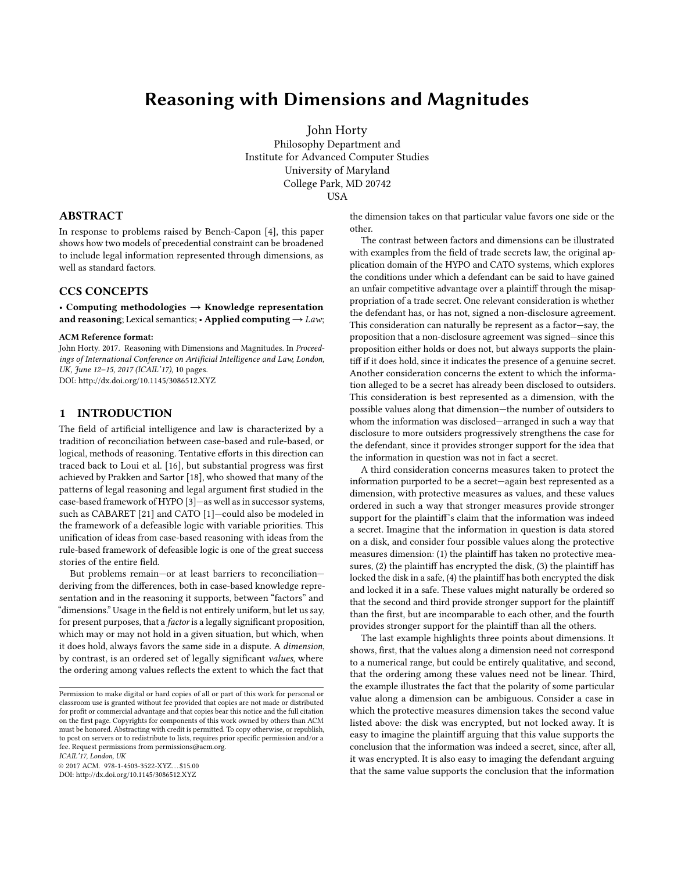# Reasoning with Dimensions and Magnitudes

John Horty

Philosophy Department and Institute for Advanced Computer Studies University of Maryland College Park, MD 20742 USA

## ABSTRACT

In response to problems raised by Bench-Capon [\[4\]](#page-9-0), this paper shows how two models of precedential constraint can be broadened to include legal information represented through dimensions, as well as standard factors.

# CCS CONCEPTS

• Computing methodologies  $\rightarrow$  Knowledge representation and reasoning; Lexical semantics; • Applied computing  $\rightarrow$  Law;

#### ACM Reference format:

John Horty. 2017. Reasoning with Dimensions and Magnitudes. In Proceedings of International Conference on Artificial Intelligence and Law, London, UK, June 12-15, 2017 (ICAIL'17), [10](#page-9-1) pages. DOI: http://dx.doi.org/10.1145/3086512.XYZ

# 1 INTRODUCTION

The field of artificial intelligence and law is characterized by a tradition of reconciliation between case-based and rule-based, or logical, methods of reasoning. Tentative efforts in this direction can traced back to Loui et al. [\[16\]](#page-9-2), but substantial progress was first achieved by Prakken and Sartor [\[18\]](#page-9-3), who showed that many of the patterns of legal reasoning and legal argument first studied in the case-based framework of HYPO [\[3\]](#page-9-4)—as well as in successor systems, such as CABARET [\[21\]](#page-9-5) and CATO [\[1\]](#page-9-6)—could also be modeled in the framework of a defeasible logic with variable priorities. This unification of ideas from case-based reasoning with ideas from the rule-based framework of defeasible logic is one of the great success stories of the entire field.

But problems remain—or at least barriers to reconciliation deriving from the differences, both in case-based knowledge representation and in the reasoning it supports, between "factors" and "dimensions." Usage in the field is not entirely uniform, but let us say, for present purposes, that a factor is a legally significant proposition, which may or may not hold in a given situation, but which, when it does hold, always favors the same side in a dispute. A dimension, by contrast, is an ordered set of legally significant values, where the ordering among values reflects the extent to which the fact that

ICAIL'17, London, UK

© 2017 ACM. 978-1-4503-3522-XYZ. . . \$15.00 DOI: http://dx.doi.org/10.1145/3086512.XYZ

the dimension takes on that particular value favors one side or the other.

The contrast between factors and dimensions can be illustrated with examples from the field of trade secrets law, the original application domain of the HYPO and CATO systems, which explores the conditions under which a defendant can be said to have gained an unfair competitive advantage over a plaintiff through the misappropriation of a trade secret. One relevant consideration is whether the defendant has, or has not, signed a non-disclosure agreement. This consideration can naturally be represent as a factor—say, the proposition that a non-disclosure agreement was signed—since this proposition either holds or does not, but always supports the plaintiff if it does hold, since it indicates the presence of a genuine secret. Another consideration concerns the extent to which the information alleged to be a secret has already been disclosed to outsiders. This consideration is best represented as a dimension, with the possible values along that dimension—the number of outsiders to whom the information was disclosed—arranged in such a way that disclosure to more outsiders progressively strengthens the case for the defendant, since it provides stronger support for the idea that the information in question was not in fact a secret.

A third consideration concerns measures taken to protect the information purported to be a secret—again best represented as a dimension, with protective measures as values, and these values ordered in such a way that stronger measures provide stronger support for the plaintiff's claim that the information was indeed a secret. Imagine that the information in question is data stored on a disk, and consider four possible values along the protective measures dimension: (1) the plaintiff has taken no protective measures, (2) the plaintiff has encrypted the disk, (3) the plaintiff has locked the disk in a safe, (4) the plaintiff has both encrypted the disk and locked it in a safe. These values might naturally be ordered so that the second and third provide stronger support for the plaintiff than the first, but are incomparable to each other, and the fourth provides stronger support for the plaintiff than all the others.

The last example highlights three points about dimensions. It shows, first, that the values along a dimension need not correspond to a numerical range, but could be entirely qualitative, and second, that the ordering among these values need not be linear. Third, the example illustrates the fact that the polarity of some particular value along a dimension can be ambiguous. Consider a case in which the protective measures dimension takes the second value listed above: the disk was encrypted, but not locked away. It is easy to imagine the plaintiff arguing that this value supports the conclusion that the information was indeed a secret, since, after all, it was encrypted. It is also easy to imaging the defendant arguing that the same value supports the conclusion that the information

Permission to make digital or hard copies of all or part of this work for personal or classroom use is granted without fee provided that copies are not made or distributed for profit or commercial advantage and that copies bear this notice and the full citation on the first page. Copyrights for components of this work owned by others than ACM must be honored. Abstracting with credit is permitted. To copy otherwise, or republish, to post on servers or to redistribute to lists, requires prior specific permission and/or a fee. Request permissions from permissions@acm.org.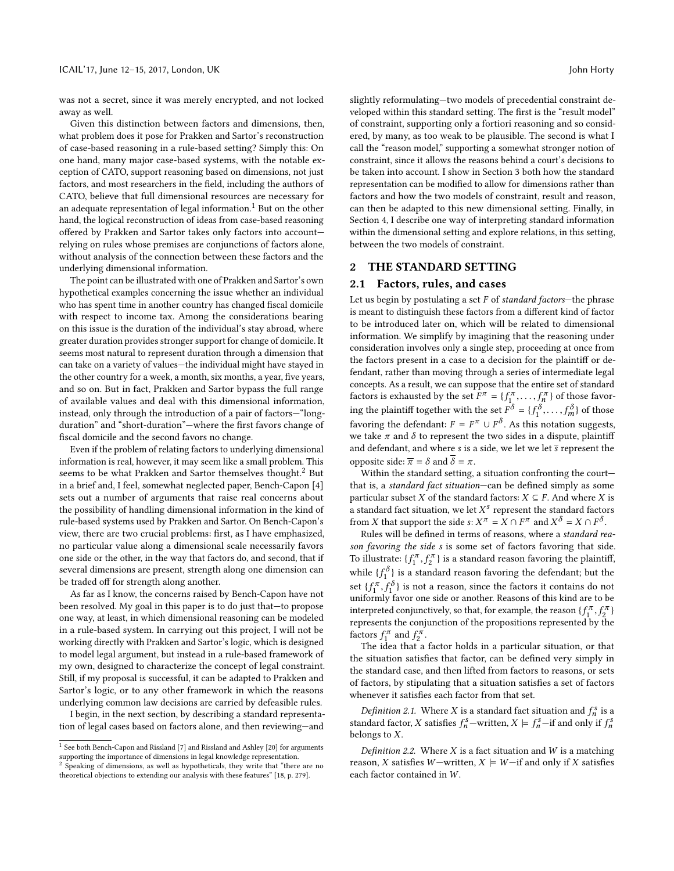was not a secret, since it was merely encrypted, and not locked away as well.

Given this distinction between factors and dimensions, then, what problem does it pose for Prakken and Sartor's reconstruction of case-based reasoning in a rule-based setting? Simply this: On one hand, many major case-based systems, with the notable exception of CATO, support reasoning based on dimensions, not just factors, and most researchers in the field, including the authors of CATO, believe that full dimensional resources are necessary for an adequate representation of legal information.<sup>[1](#page-1-0)</sup> But on the other hand, the logical reconstruction of ideas from case-based reasoning offered by Prakken and Sartor takes only factors into account relying on rules whose premises are conjunctions of factors alone, without analysis of the connection between these factors and the underlying dimensional information.

The point can be illustrated with one of Prakken and Sartor's own hypothetical examples concerning the issue whether an individual who has spent time in another country has changed fiscal domicile with respect to income tax. Among the considerations bearing on this issue is the duration of the individual's stay abroad, where greater duration provides stronger support for change of domicile. It seems most natural to represent duration through a dimension that can take on a variety of values—the individual might have stayed in the other country for a week, a month, six months, a year, five years, and so on. But in fact, Prakken and Sartor bypass the full range of available values and deal with this dimensional information, instead, only through the introduction of a pair of factors—"longduration" and "short-duration"—where the first favors change of fiscal domicile and the second favors no change.

Even if the problem of relating factors to underlying dimensional information is real, however, it may seem like a small problem. This seems to be what Prakken and Sartor themselves thought.<sup>[2](#page-1-1)</sup> But in a brief and, I feel, somewhat neglected paper, Bench-Capon [\[4\]](#page-9-0) sets out a number of arguments that raise real concerns about the possibility of handling dimensional information in the kind of rule-based systems used by Prakken and Sartor. On Bench-Capon's view, there are two crucial problems: first, as I have emphasized, no particular value along a dimensional scale necessarily favors one side or the other, in the way that factors do, and second, that if several dimensions are present, strength along one dimension can be traded off for strength along another.

As far as I know, the concerns raised by Bench-Capon have not been resolved. My goal in this paper is to do just that—to propose one way, at least, in which dimensional reasoning can be modeled in a rule-based system. In carrying out this project, I will not be working directly with Prakken and Sartor's logic, which is designed to model legal argument, but instead in a rule-based framework of my own, designed to characterize the concept of legal constraint. Still, if my proposal is successful, it can be adapted to Prakken and Sartor's logic, or to any other framework in which the reasons underlying common law decisions are carried by defeasible rules.

I begin, in the next section, by describing a standard representation of legal cases based on factors alone, and then reviewing—and

slightly reformulating—two models of precedential constraint developed within this standard setting. The first is the "result model" of constraint, supporting only a fortiori reasoning and so considered, by many, as too weak to be plausible. The second is what I call the "reason model," supporting a somewhat stronger notion of constraint, since it allows the reasons behind a court's decisions to be taken into account. I show in Section [3](#page-4-0) both how the standard representation can be modified to allow for dimensions rather than factors and how the two models of constraint, result and reason, can then be adapted to this new dimensional setting. Finally, in Section [4,](#page-7-0) I describe one way of interpreting standard information within the dimensional setting and explore relations, in this setting, between the two models of constraint.

# 2 THE STANDARD SETTING

### 2.1 Factors, rules, and cases

Let us begin by postulating a set  $F$  of standard factors-the phrase is meant to distinguish these factors from a different kind of factor to be introduced later on, which will be related to dimensional information. We simplify by imagining that the reasoning under consideration involves only a single step, proceeding at once from the factors present in a case to a decision for the plaintiff or defendant, rather than moving through a series of intermediate legal concepts. As a result, we can suppose that the entire set of standard factors is exhausted by the set  $F^{\pi} = \{f_1^{\pi}, \ldots, f_n\}$  $\binom{n}{n}$  of those favoring the plaintiff together with the set  $F^{\delta} = \{f_1^{\delta}, \ldots, f_m^{\delta}\}$  of those formation the defendant  $F_{n} = \overline{F_{n}} + F_{n}^{\delta}$ . As this position magnetic favoring the defendant:  $F = F^{\pi} \cup F^{\delta}$ . As this notation suggests, we take  $\pi$  and  $\delta$  to represent the two sides in a dispute, plaintiff and defendant, and where s is a side, we let we let  $\overline{s}$  represent the opposite side:  $\overline{\pi} = \delta$  and  $\delta = \pi$ .

Within the standard setting, a situation confronting the court that is, a standard fact situation—can be defined simply as some particular subset X of the standard factors:  $X \subseteq F$ . And where X is a standard fact situation, we let  $X^s$  represent the standard factors<br>from X that support the side s:  $X^{\pi} - Y \cap E^{\pi}$  and  $X^{\delta} - Y \cap E^{\delta}$ from X that support the side s:  $X^{\pi} = X \cap F^{\pi}$  and  $X^{\delta} = X \cap F^{\delta}$ .<br>Bulge will be defined in terms of reasons, where a standard re

Rules will be defined in terms of reasons, where a standard reason favoring the side s is some set of factors favoring that side. To illustrate:  $\{f_1^{\pi}, f_2^{\pi}\}$  is a standard reason favoring the plaintiff, while  $\{f_1^{\delta}\}$  is a standard reason favoring the defendant; but the set  $\{f_1^{\pi}, f_1^{\delta}\}\$  is not a reason, since the factors it contains do not<br>uniformly favor one side or another Peasons of this kind are to be  $\frac{1}{\sqrt{1}}$  or  $\frac{1}{\sqrt{1}}$ ,  $\frac{1}{\sqrt{1}}$ ,  $\frac{1}{\sqrt{1}}$ interpreted conjunctively, so that, for example, the reason  $\{f_1^{\pi}, f_2^{\pi}\}$ <br>represents the conjunction of the propositions represented by the  $r_{\text{c}}$  represents the conjunction of the propositions represented by the factors  $f_1^{\pi}$  and  $f_2^{\pi}$ .<br>The idea that a

The idea that a factor holds in a particular situation, or that the situation satisfies that factor, can be defined very simply in the standard case, and then lifted from factors to reasons, or sets of factors, by stipulating that a situation satisfies a set of factors whenever it satisfies each factor from that set.

<span id="page-1-3"></span>Definition 2.1. Where X is a standard fact situation and  $f_s^s$  is a neared factor X satisfies  $f^s$ -written  $X \models f^s$ -if and only if  $f^s$ standard factor, X satisfies  $f_n^s$ —written,  $X \models f_n^s$ —if and only if  $f_n^s$ belongs to X.

<span id="page-1-2"></span>Definition 2.2. Where  $X$  is a fact situation and  $W$  is a matching reason, X satisfies W-written,  $X \models W$ -if and only if X satisfies each factor contained in W.

<span id="page-1-0"></span><sup>&</sup>lt;sup>1</sup> See both Bench-Capon and Rissland [\[7\]](#page-9-7) and Rissland and Ashley [\[20\]](#page-9-8) for arguments supporting the importance of dimensions in legal knowledge representation.<br><sup>2</sup> Speaking of dimensions, as well as hypotheticals, they write that "there are no

<span id="page-1-1"></span>theoretical objections to extending our analysis with these features" [\[18,](#page-9-3) p. 279].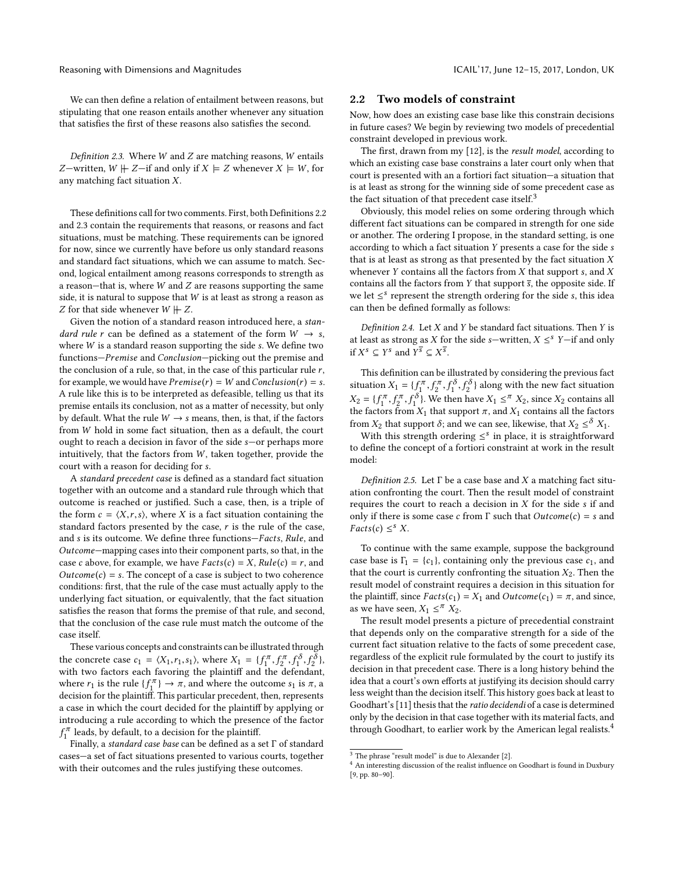Reasoning with Dimensions and Magnitudes ICAIL'17, June 12–15, 2017, London, UK

We can then define a relation of entailment between reasons, but stipulating that one reason entails another whenever any situation that satisfies the first of these reasons also satisfies the second.

<span id="page-2-0"></span>Definition 2.3. Where  $W$  and  $Z$  are matching reasons,  $W$  entails Z—written,  $W \not\vdash Z$ —if and only if  $X \models Z$  whenever  $X \models W$ , for any matching fact situation X.

These definitions call for two comments. First, both Definitions [2.2](#page-1-2) and [2.3](#page-2-0) contain the requirements that reasons, or reasons and fact situations, must be matching. These requirements can be ignored for now, since we currently have before us only standard reasons and standard fact situations, which we can assume to match. Second, logical entailment among reasons corresponds to strength as a reason-that is, where  $W$  and  $Z$  are reasons supporting the same side, it is natural to suppose that W is at least as strong a reason as Z for that side whenever  $W \not\parallel Z$ .

Given the notion of a standard reason introduced here, a standard rule r can be defined as a statement of the form  $W \rightarrow s$ , where W is a standard reason supporting the side s. We define two functions—Premise and Conclusion—picking out the premise and the conclusion of a rule, so that, in the case of this particular rule  $r$ , for example, we would have  $Premise(r) = W$  and  $Conclusion(r) = s$ . A rule like this is to be interpreted as defeasible, telling us that its premise entails its conclusion, not as a matter of necessity, but only by default. What the rule  $W \rightarrow s$  means, then, is that, if the factors from W hold in some fact situation, then as a default, the court ought to reach a decision in favor of the side s—or perhaps more intuitively, that the factors from  $W$ , taken together, provide the court with a reason for deciding for s.

A standard precedent case is defined as a standard fact situation together with an outcome and a standard rule through which that outcome is reached or justified. Such a case, then, is a triple of the form  $c = \langle X, r, s \rangle$ , where X is a fact situation containing the standard factors presented by the case,  $r$  is the rule of the case, and s is its outcome. We define three functions—Facts, Rule, and Outcome—mapping cases into their component parts, so that, in the case c above, for example, we have  $Facts(c) = X$ ,  $Rule(c) = r$ , and  $Outcome(c) = s$ . The concept of a case is subject to two coherence conditions: first, that the rule of the case must actually apply to the underlying fact situation, or equivalently, that the fact situation satisfies the reason that forms the premise of that rule, and second, that the conclusion of the case rule must match the outcome of the case itself.

<span id="page-2-1"></span>These various concepts and constraints can be illustrated through the concrete case  $c_1 = \langle X_1, r_1, s_1 \rangle$  $c_1 = \langle X_1, r_1, s_1 \rangle$  $c_1 = \langle X_1, r_1, s_1 \rangle$ , where  $X_1 = \{f_1^{\pi}, f_2^{\pi}, f_1^{\delta}, f_2^{\delta}\},$ <br>with two factors each favoring the plaintiff and the defendant with two factors each favoring the plaintiff and the defendant. where  $r_1$  $r_1$  is the rule  $\{f_1^{\pi}\} \to \pi$ , and where the outcome  $s_1$  is  $\pi$ , and  $s_2$  is  $\pi$ , and  $s_1$  is  $\pi$ . decision for the plaintiff. This particular precedent, then, represents a case in which the court decided for the plaintiff by applying or introducing a rule according to which the presence of the factor  $\int_{1}^{\pi}$  leads, by default, to a decision for the plaintiff.

<sup>J</sup> Finally, a standard case base can be defined as a set  $\Gamma$  of standard cases—a set of fact situations presented to various courts, together with their outcomes and the rules justifying these outcomes.

#### 2.2 Two models of constraint

Now, how does an existing case base like this constrain decisions in future cases? We begin by reviewing two models of precedential constraint developed in previous work.

The first, drawn from my [\[12\]](#page-9-9), is the result model, according to which an existing case base constrains a later court only when that court is presented with an a fortiori fact situation—a situation that is at least as strong for the winning side of some precedent case as the fact situation of that precedent case itself. $3$ 

Obviously, this model relies on some ordering through which different fact situations can be compared in strength for one side or another. The ordering I propose, in the standard setting, is one according to which a fact situation Y presents a case for the side s that is at least as strong as that presented by the fact situation  $X$ whenever  $Y$  contains all the factors from  $X$  that support  $s$ , and  $X$ contains all the factors from Y that support  $\overline{s}$ , the opposite side. If we let  $\leq$ <sup>s</sup> represent the strength ordering for the side s, this idea<br>can then be defined formally as follows: can then be defined formally as follows:

<span id="page-2-6"></span>Definition 2.4. Let  $X$  and  $Y$  be standard fact situations. Then  $Y$  is at least as strong as *X* for the side *s*—written, *X*  $\leq$ <sup>8</sup> *Y*—if and only if  $X^s \subseteq Y^s$  and  $Y^{\overline{s}} \subseteq X^{\overline{s}}$ .

<span id="page-2-3"></span>This definition can be illustrated by considering the previous fact situation  $X_1 = \{f_1^{\pi}, f_2^{\pi}, f_1^{\delta}, f_2^{\delta}\}\$  $X_1 = \{f_1^{\pi}, f_2^{\pi}, f_1^{\delta}, f_2^{\delta}\}\$  $X_1 = \{f_1^{\pi}, f_2^{\pi}, f_1^{\delta}, f_2^{\delta}\}\$  along with the new fact situation  $X_2 = \{f_1^{\pi}, f_2^{\pi}, f_1^{\delta}\}\$ . We then  $\beta$  $\frac{1}{2}$ , f  $\binom{5}{1}$  $\binom{5}{1}$  $\binom{5}{1}$ . We then have  $X_1 \leq \pi X_2$  $X_1 \leq \pi X_2$ , since  $X_2$  contains all  $X_1$ . At that support  $\pi$ , and  $X_2$  contains all the factors the factors from  $X_1$  $X_1$  that support  $\pi$ , and  $X_1$  contains all the factors from  $X_2$  $X_2$  that support  $\delta$ ; and we can see, likewise, that  $X_2 \leq \delta X_1$  $X_2 \leq \delta X_1$ .<br>With this strength ordering  $\leq \delta$  in place, it is straightforwar

With this strength ordering  $\leq^s$  in place, it is straightforward to define the concept of a fortiori constraint at work in the result model:

<span id="page-2-7"></span>Definition 2.5. Let  $\Gamma$  be a case base and X a matching fact situation confronting the court. Then the result model of constraint requires the court to reach a decision in  $X$  for the side s if and only if there is some case c from  $\Gamma$  such that  $Outcome(c) = s$  and  $Facts(c) \leq^s X$ .

<span id="page-2-5"></span>To continue with the same example, suppose the background case base is  $\Gamma_1 = \{c_1\}$  $\Gamma_1 = \{c_1\}$  $\Gamma_1 = \{c_1\}$ , containing only the previous case  $c_1$ , and that the court is currently confronting the situation  $X_2$  $X_2$ . Then the result model of constraint requires a decision in this situation for the plaintiff, since  $Facts(c_1) = X_1$  $Facts(c_1) = X_1$  $Facts(c_1) = X_1$  and  $Outcome(c_1) = \pi$ , and since, as we have seen,  $X_1 \leq \pi X_2$  $X_1 \leq \pi X_2$  $X_1 \leq \pi X_2$  $X_1 \leq \pi X_2$ .<br>The result model present

The result model presents a picture of precedential constraint that depends only on the comparative strength for a side of the current fact situation relative to the facts of some precedent case, regardless of the explicit rule formulated by the court to justify its decision in that precedent case. There is a long history behind the idea that a court's own efforts at justifying its decision should carry less weight than the decision itself. This history goes back at least to Goodhart's [\[11\]](#page-9-10) thesis that the ratio decidendi of a case is determined only by the decision in that case together with its material facts, and through Goodhart, to earlier work by the American legal realists.<sup>[4](#page-2-4)</sup>

<span id="page-2-2"></span> $^3$  The phrase "result model" is due to Alexander [\[2\]](#page-9-11).

<span id="page-2-4"></span> $^4$  An interesting discussion of the realist influence on Goodhart is found in Duxbury [\[9,](#page-9-12) pp. 80–90].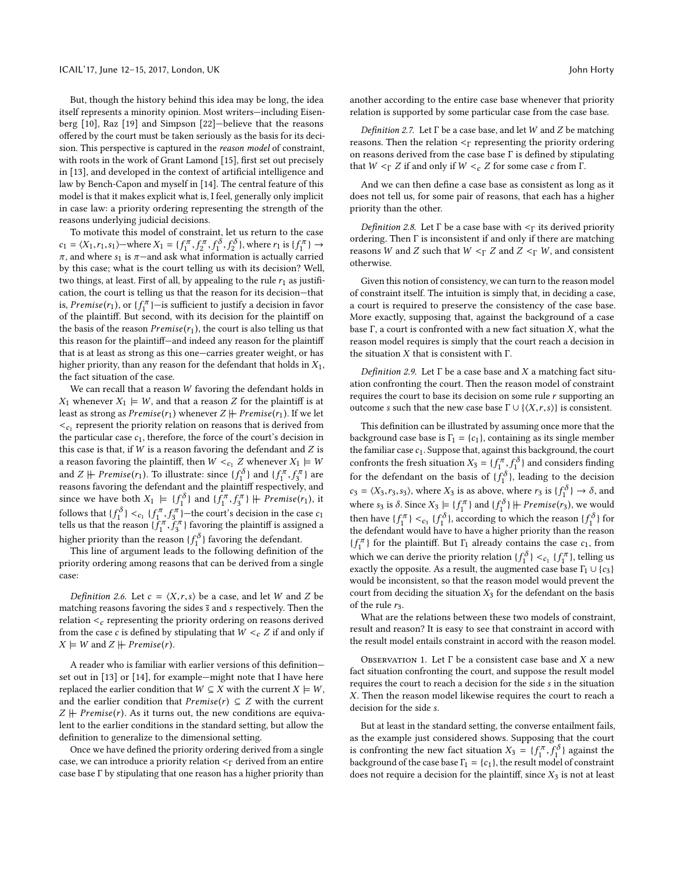But, though the history behind this idea may be long, the idea itself represents a minority opinion. Most writers—including Eisenberg [\[10\]](#page-9-13), Raz [\[19\]](#page-9-14) and Simpson [\[22\]](#page-9-15)—believe that the reasons offered by the court must be taken seriously as the basis for its decision. This perspective is captured in the reason model of constraint, with roots in the work of Grant Lamond [\[15\]](#page-9-16), first set out precisely in [\[13\]](#page-9-17), and developed in the context of artificial intelligence and law by Bench-Capon and myself in [\[14\]](#page-9-18). The central feature of this model is that it makes explicit what is, I feel, generally only implicit in case law: a priority ordering representing the strength of the reasons underlying judicial decisions.

To motivate this model of constraint, let us return to the case  $c_1 = \langle X_1, r_1, s_1 \rangle$  $c_1 = \langle X_1, r_1, s_1 \rangle$  $c_1 = \langle X_1, r_1, s_1 \rangle$ —where  $X_1 = \{ f_1^{\pi}, f$ <br>  $\pi$ , and where  $s_1$  is  $\pi$ —and ask what  $\frac{2\pi}{2}, f$  $\frac{1}{1}, f$  $\begin{aligned} \sum_{1}^{c} \delta \\ \text{where } r_1 \text{ is } \{f_1^{\pi}\} \rightarrow \\ \text{then is actually carried} \end{aligned}$ π, and where s<sub>[1](#page-2-1)</sub> is π—and ask what information is actually carried<br>by this case, what is the court telling us with its decision? Well by this case; what is the court telling us with its decision? Well, two things, at least. First of all, by appealing to the rule  $r_1$  $r_1$  as justification, the court is telling us that the reason for its decision—that is, *Premise*( $r_1$  $r_1$ ), or { $f_1^{\pi}$ }—is sufficient to justify a decision in favor<br>of the plaintiff. But second, with its decision for the plaintiff on of the plaintiff. But second, with its decision for the plaintiff on the basis of the reason  $Premise(r_1)$  $Premise(r_1)$  $Premise(r_1)$ , the court is also telling us that this reason for the plaintiff—and indeed any reason for the plaintiff that is at least as strong as this one—carries greater weight, or has higher priority, than any reason for the defendant that holds in  $X_1$  $X_1$ , the fact situation of the case.

We can recall that a reason W favoring the defendant holds in  $X_1$  $X_1$  whenever  $X_1 \models W$ , and that a reason Z for the plaintiff is at least as strong as  $Premise(r_1)$  $Premise(r_1)$  $Premise(r_1)$  whenever  $Z \nparallel Premise(r_1)$ . If we let  $\epsilon_{c_1}$  $\epsilon_{c_1}$  $\epsilon_{c_1}$  represent the priority relation on reasons that is derived from<br>the particular case  $c_1$  therefore, the force of the court's decision in the particular case  $c_1$  $c_1$ , therefore, the force of the court's decision in this case is that, if  $W$  is a reason favoring the defendant and  $Z$  is a reason favoring the plaintiff, then  $W <_{c_1} Z$  $W <_{c_1} Z$  $W <_{c_1} Z$  whenever  $X_1 \models W$ and  $Z \not\vdash \text{Premise}(r_1)$  $Z \not\vdash \text{Premise}(r_1)$  $Z \not\vdash \text{Premise}(r_1)$ . To illustrate: since  $\{f_1^{\delta}\}$  and  $\{f_1^{\pi}, f_3^{\pi}\}$  are reasons favoring the defendant and the plaintiff respectively, and since we have both  $X_1 \models \{f_1^{\delta}\}$  $X_1 \models \{f_1^{\delta}\}$  $X_1 \models \{f_1^{\delta}\}$  and  $\{f_1^{\pi}, f_3^{\pi}\} \not\vdash \text{Premise}(r_1)$ , it follows that  ${f_1^{\delta}}$  ${f_1^{\delta}}$  ${f_1^{\delta}}$   $<_{c_1} {f_1^{\pi}, f_3^{\pi}}$  – the court's decision in the case  $c_1$ <br>talls us that the reason  $f_1^{\pi}$ ,  $f_3^{\pi}$  ) – the court's decision in the case  $c_1$ tells us that the reason  $\{f_1^{\pi}, f_3^{\pi}\}$  favoring the plaintiff is assigned a<br>high property of  $f_1^{\pi}, f_3^{\pi}$  favoring the plaintiff is assigned a higher priority than the reason  $\{f_1^{\delta}\}$  favoring the defendant.<br>This line of argument leads to the following definition

This line of argument leads to the following definition of the priority ordering among reasons that can be derived from a single case:

<span id="page-3-4"></span>*Definition 2.6.* Let  $c = \langle X, r, s \rangle$  be a case, and let W and Z be matching reasons favoring the sides  $\bar{s}$  and s respectively. Then the relation  $\lt_c$  representing the priority ordering on reasons derived from the case c is defined by stipulating that  $W <_{c} Z$  if and only if  $X \models W$  and  $Z \not\models \text{Premise}(r)$ .

A reader who is familiar with earlier versions of this definition set out in [\[13\]](#page-9-17) or [\[14\]](#page-9-18), for example—might note that I have here replaced the earlier condition that  $W \subseteq X$  with the current  $X \models W$ , and the earlier condition that  $Premise(r) \subseteq Z$  with the current  $Z \nightharpoonup$  Premise(r). As it turns out, the new conditions are equivalent to the earlier conditions in the standard setting, but allow the definition to generalize to the dimensional setting.

Once we have defined the priority ordering derived from a single case, we can introduce a priority relation  $\leq_{\Gamma}$  derived from an entire case base Γ by stipulating that one reason has a higher priority than another according to the entire case base whenever that priority relation is supported by some particular case from the case base.

<span id="page-3-3"></span>Definition 2.7. Let  $\Gamma$  be a case base, and let W and Z be matching reasons. Then the relation  $\leq_\Gamma$  representing the priority ordering on reasons derived from the case base Γ is defined by stipulating that  $W <_{\Gamma} Z$  if and only if  $W <_{c} Z$  for some case c from Γ.

And we can then define a case base as consistent as long as it does not tell us, for some pair of reasons, that each has a higher priority than the other.

<span id="page-3-2"></span>Definition 2.8. Let  $\Gamma$  be a case base with  $\leq_{\Gamma}$  its derived priority ordering. Then Γ is inconsistent if and only if there are matching reasons W and Z such that  $W <_{\Gamma} Z$  and  $Z <_{\Gamma} W$ , and consistent otherwise.

Given this notion of consistency, we can turn to the reason model of constraint itself. The intuition is simply that, in deciding a case, a court is required to preserve the consistency of the case base. More exactly, supposing that, against the background of a case base  $\Gamma$ , a court is confronted with a new fact situation  $X$ , what the reason model requires is simply that the court reach a decision in the situation  $X$  that is consistent with Γ.

<span id="page-3-1"></span>Definition 2.9. Let  $\Gamma$  be a case base and X a matching fact situation confronting the court. Then the reason model of constraint requires the court to base its decision on some rule  $r$  supporting an outcome s such that the new case base  $\Gamma \cup \{ \langle X, r, s \rangle \}$  is consistent.

<span id="page-3-0"></span>This definition can be illustrated by assuming once more that the background case base is  $\Gamma_1 = \{c_1\}$  $\Gamma_1 = \{c_1\}$  $\Gamma_1 = \{c_1\}$ , containing as its single member the familiar case  $c_1$  $c_1$ . Suppose that, against this background, the court confronts the fresh situation  $X_3 = \{f_1^{\pi}, f_1^{\delta}\}\$ and considers finding for the defendant on the basis of  $\{f_1^{\delta}\}$ , leading to the decision  $c_3 = \langle X_3, r_3, s_3 \rangle$  $c_3 = \langle X_3, r_3, s_3 \rangle$  $c_3 = \langle X_3, r_3, s_3 \rangle$ , where  $X_3$  is as above, where  $r_3$  is  $\{f_1^{\delta}\} \rightarrow \delta$ , and where  $s_3$  $s_3$  is  $\delta$ . Since  $X_3 \models \{f_1^{\pi}\}\$  and  $\{f_1^{\delta}\}\ \mathsf{H}$  *Premise*(*r*<sub>3</sub>), we would then have  $\{f_1^{\pi}\}\langle c_3 \{f_1^{\delta}\}\rangle$  $\{f_1^{\pi}\}\langle c_3 \{f_1^{\delta}\}\rangle$  $\{f_1^{\pi}\}\langle c_3 \{f_1^{\delta}\}\rangle$ , according to which the reason  $\{f_1^{\delta}\}\$  for the defendant would have to have a higher priority than the reason the defendant would have to have a higher priority than the reason  ${f_1^{\pi}}$  ${f_1^{\pi}}$  ${f_1^{\pi}}$  for the plaintiff. But  $\Gamma_1$  already contains the case  $c_1$ , from which we can derive the priority relation  $\{f_0^{\delta}\}\leq_{c_1} \{f_1^{\pi}\}\$  $\{f_0^{\delta}\}\leq_{c_1} \{f_1^{\pi}\}\$  $\{f_0^{\delta}\}\leq_{c_1} \{f_1^{\pi}\}\$ , telling us<br>exactly the opposite  $A\epsilon_0$  result, the augmented case base  $\Gamma_{c1}$  if  $c_2$ exactly the opposite. As a result, the augmented case base  $\Gamma_1 \cup \{c_3\}$  $\Gamma_1 \cup \{c_3\}$  $\Gamma_1 \cup \{c_3\}$  $\Gamma_1 \cup \{c_3\}$  $\Gamma_1 \cup \{c_3\}$ would be inconsistent, so that the reason model would prevent the court from deciding the situation  $X_3$  $X_3$  for the defendant on the basis of the rule  $r_3$  $r_3$ .

What are the relations between these two models of constraint, result and reason? It is easy to see that constraint in accord with the result model entails constraint in accord with the reason model.

<span id="page-3-5"></span>OBSERVATION 1. Let  $\Gamma$  be a consistent case base and X a new fact situation confronting the court, and suppose the result model requires the court to reach a decision for the side s in the situation X. Then the reason model likewise requires the court to reach a decision for the side s.

But at least in the standard setting, the converse entailment fails, as the example just considered shows. Supposing that the court is confronting the new fact situation  $X_3 = \{f_1^{\pi}, f_1^{\delta}\}\$  $X_3 = \{f_1^{\pi}, f_1^{\delta}\}\$  $X_3 = \{f_1^{\pi}, f_1^{\delta}\}\$  against the hackground of the case has  $F_1 = \{c_1\}$  the result model of constraint background of the case base  $\Gamma_1 = \{c_1\}$  $\Gamma_1 = \{c_1\}$  $\Gamma_1 = \{c_1\}$ , the result model of constraint<br>does not require a decision for the plaintiff, since  $X_2$  is not at least does not require a decision for the plaintiff, since  $X_3$  $X_3$  is not at least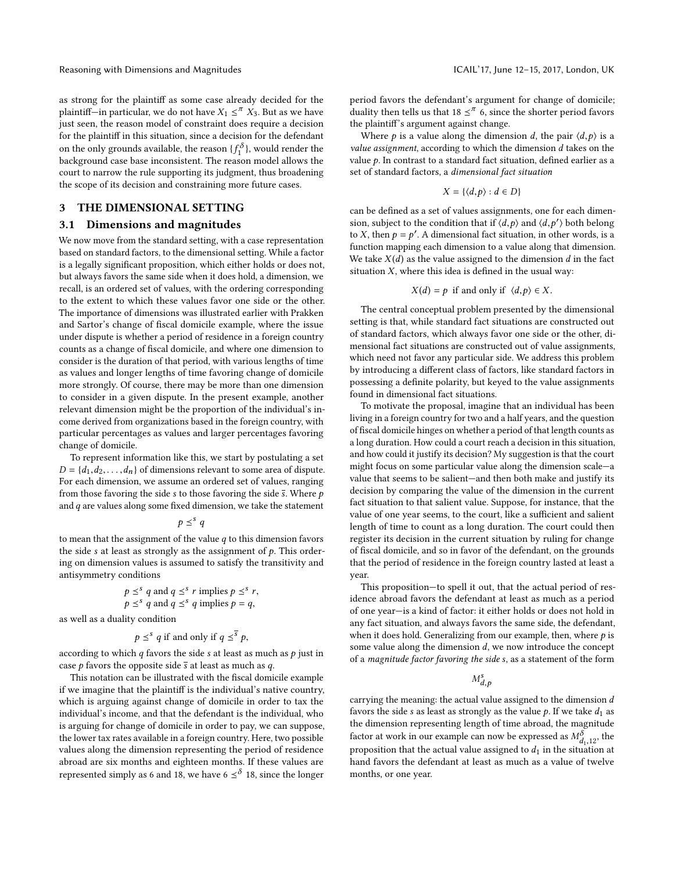Reasoning with Dimensions and Magnitudes ICAIL'17, June 12–15, 2017, London, UK

as strong for the plaintiff as some case already decided for the plaintiff—in particular, we do not have  $X_1 \leq^{\pi} X_3$  $X_1 \leq^{\pi} X_3$  $X_1 \leq^{\pi} X_3$  $X_1 \leq^{\pi} X_3$ . But as we have<br>just seen the reason model of constraint does require a decision just seen, the reason model of constraint does require a decision for the plaintiff in this situation, since a decision for the defendant on the only grounds available, the reason  $\{f_1^{\delta}\}$ , would render the background case has inconsistent. The reason model allows the background case base inconsistent. The reason model allows the court to narrow the rule supporting its judgment, thus broadening the scope of its decision and constraining more future cases.

# <span id="page-4-0"></span>3 THE DIMENSIONAL SETTING

### 3.1 Dimensions and magnitudes

We now move from the standard setting, with a case representation based on standard factors, to the dimensional setting. While a factor is a legally significant proposition, which either holds or does not, but always favors the same side when it does hold, a dimension, we recall, is an ordered set of values, with the ordering corresponding to the extent to which these values favor one side or the other. The importance of dimensions was illustrated earlier with Prakken and Sartor's change of fiscal domicile example, where the issue under dispute is whether a period of residence in a foreign country counts as a change of fiscal domicile, and where one dimension to consider is the duration of that period, with various lengths of time as values and longer lengths of time favoring change of domicile more strongly. Of course, there may be more than one dimension to consider in a given dispute. In the present example, another relevant dimension might be the proportion of the individual's income derived from organizations based in the foreign country, with particular percentages as values and larger percentages favoring change of domicile.

To represent information like this, we start by postulating a set  $D = \{d_1, d_2, \ldots, d_n\}$  of dimensions relevant to some area of dispute. For each dimension, we assume an ordered set of values, ranging from those favoring the side s to those favoring the side  $\overline{s}$ . Where  $p$ and *q* are values along some fixed dimension, we take the statement<br> $p \leq^{s} q$ 

$$
p \leq^s q
$$

 $p \leq^{s} q$ <br>to mean that the assignment of the value q to this dimension favors<br>the side s at least as strongly as the assignment of a This order the side s at least as strongly as the assignment of  $p$ . This ordering on dimension values is assumed to satisfy the transitivity and antisymmetry conditions

$$
p \leq^s q \text{ and } q \leq^s r \text{ implies } p \leq^s r,
$$
  

$$
p \leq^s q \text{ and } q \leq^s q \text{ implies } p = q,
$$

 $p \leq^s q$  and q<br>as well as a duality condition

$$
p \leq^s q \text{ if and only if } q \leq^{\overline{s}} p
$$

 $p - p$ <br>according to which q favors the side s at least as much as p just in case *p* favors the opposite side  $\overline{s}$  at least as much as *q*.

This notation can be illustrated with the fiscal domicile example if we imagine that the plaintiff is the individual's native country, which is arguing against change of domicile in order to tax the individual's income, and that the defendant is the individual, who is arguing for change of domicile in order to pay, we can suppose, the lower tax rates available in a foreign country. Here, two possible values along the dimension representing the period of residence abroad are six months and eighteen months. If these values are represented simply as 6 and 18, we have 6  $\leq^\delta$  18, since the longer

period favors the defendant's argument for change of domicile; duality then tells us that 18  $\leq$ <sup> $\pi$ </sup> 6, since the shorter period favors the plaintiff's argument against change.

Where *p* is a value along the dimension *d*, the pair  $\langle d, p \rangle$  is a value assignment, according to which the dimension d takes on the value  $p$ . In contrast to a standard fact situation, defined earlier as a set of standard factors, a dimensional fact situation

$$
X=\{\langle d,p\rangle:d\in D\}
$$

can be defined as a set of values assignments, one for each dimension, subject to the condition that if  $\langle d, p \rangle$  and  $\langle d, p' \rangle$  both belong<br>to Y then  $b - b'$ . A dimensional foct situation in other words is a to X, then  $p = p'$ . A dimensional fact situation, in other words, is a function manning each dimension to a value along that dimension function mapping each dimension to a value along that dimension. We take  $X(d)$  as the value assigned to the dimension d in the fact situation  $X$ , where this idea is defined in the usual way:

$$
X(d) = p \text{ if and only if } \langle d, p \rangle \in X.
$$

The central conceptual problem presented by the dimensional setting is that, while standard fact situations are constructed out of standard factors, which always favor one side or the other, dimensional fact situations are constructed out of value assignments, which need not favor any particular side. We address this problem by introducing a different class of factors, like standard factors in possessing a definite polarity, but keyed to the value assignments found in dimensional fact situations.

To motivate the proposal, imagine that an individual has been living in a foreign country for two and a half years, and the question of fiscal domicile hinges on whether a period of that length counts as a long duration. How could a court reach a decision in this situation, and how could it justify its decision? My suggestion is that the court might focus on some particular value along the dimension scale—a value that seems to be salient—and then both make and justify its decision by comparing the value of the dimension in the current fact situation to that salient value. Suppose, for instance, that the value of one year seems, to the court, like a sufficient and salient length of time to count as a long duration. The court could then register its decision in the current situation by ruling for change of fiscal domicile, and so in favor of the defendant, on the grounds that the period of residence in the foreign country lasted at least a year.

This proposition—to spell it out, that the actual period of residence abroad favors the defendant at least as much as a period of one year—is a kind of factor: it either holds or does not hold in any fact situation, and always favors the same side, the defendant, when it does hold. Generalizing from our example, then, where  $p$  is some value along the dimension  $d$ , we now introduce the concept of a magnitude factor favoring the side s, as a statement of the form

s d,p

carrying the meaning: the actual value assigned to the dimension d favors the side s as least as strongly as the value  $p$ . If we take  $d_1$  as the dimension representing length of time abroad, the magnitude factor at work in our example can now be expressed as  $M_{d_1,12}^{\delta}$ , the proposition that the actual value assigned to  $d_1$  in the situation at proposition that the actual value assigned to  $d_1$  in the situation at hand favors the defendant at least as much as a value of twelve months, or one year.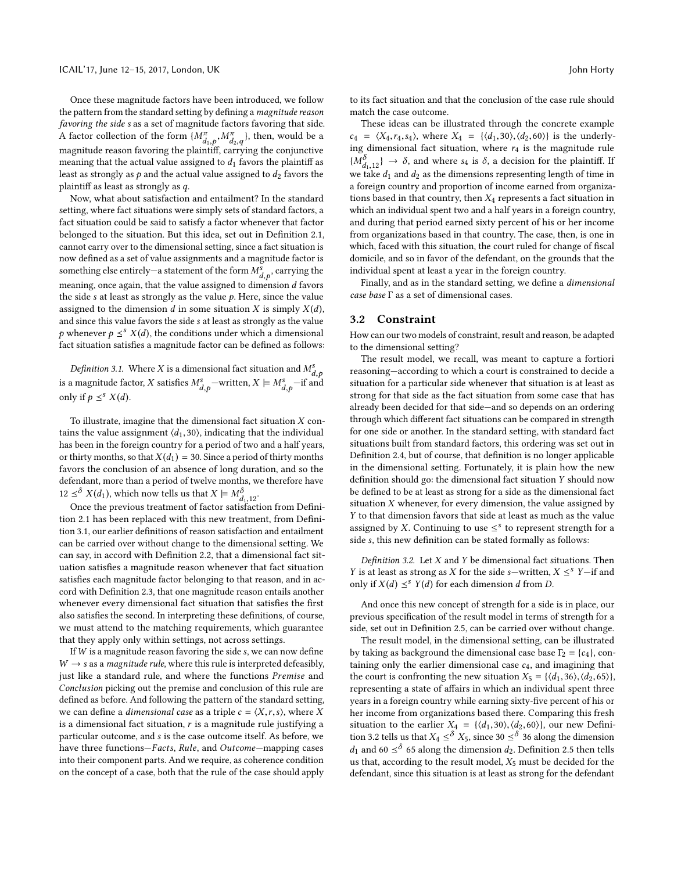Once these magnitude factors have been introduced, we follow the pattern from the standard setting by defining a magnitude reason favoring the side s as a set of magnitude factors favoring that side. A factor collection of the form  $\{M_{d_1,p}^{\pi}, M_{d_2,q}^{\pi}\}$ , then, would be a magnitude reason favoring the plaintiff, carrying the conjunctive<br>magnitude reason favoring the plaintiff, carrying the conjunctive meaning that the actual value assigned to  $d_1$  favors the plaintiff as least as strongly as  $p$  and the actual value assigned to  $d_2$  favors the plaintiff as least as strongly as q.

Now, what about satisfaction and entailment? In the standard setting, where fact situations were simply sets of standard factors, a fact situation could be said to satisfy a factor whenever that factor belonged to the situation. But this idea, set out in Definition [2.1,](#page-1-3) cannot carry over to the dimensional setting, since a fact situation is now defined as a set of value assignments and a magnitude factor is something else entirely—a statement of the form  $M_{d,p}^{\tilde{s}}$ , carrying the meaning use entirity a statement of the total  $M_{d,p}$ , carrying the meaning, once again, that the value assigned to dimension d favors the side  $s$  at least as strongly as the value  $p$ . Here, since the value assigned to the dimension d in some situation X is simply  $X(d)$ , and since this value favors the side s at least as strongly as the value p whenever  $p \leq^{s} X(d)$ , the conditions under which a dimensional fort situation satisfies a magnitude factor can be defined as follows: fact situation satisfies a magnitude factor can be defined as follows:

<span id="page-5-0"></span>Definition 3.1. Where X is a dimensional fact situation and  $M_{d,p}^s$  $\lim_{d,p} \ln \frac{M_{d,p}}{d}$ <br>is a magnitude factor, X satisfies  $M_{d,p}^s$  –written,  $X \models M_{d,p}^s$  –if and<br>only if  $n \leq X(d)$ only if  $p \leq^s X(d)$ .

To illustrate, imagine that the dimensional fact situation  $X$  contains the value assignment  $\langle d_1, 30 \rangle$ , indicating that the individual has been in the foreign country for a period of two and a half years, or thirty months, so that  $X(d_1) = 30$ . Since a period of thirty months favors the conclusion of an absence of long duration, and so the defendant, more than a period of twelve months, we therefore have  $12 \leq^{8} X(d_1)$ , which now tells us that  $X \models M_{d_1,12}^{\delta}$ .<br>Once the previous treatment of factor satisfact

Once the previous treatment of factor satisfaction from Definition [2.1](#page-1-3) has been replaced with this new treatment, from Definition [3.1,](#page-5-0) our earlier definitions of reason satisfaction and entailment can be carried over without change to the dimensional setting. We can say, in accord with Definition [2.2,](#page-1-2) that a dimensional fact situation satisfies a magnitude reason whenever that fact situation satisfies each magnitude factor belonging to that reason, and in accord with Definition [2.3,](#page-2-0) that one magnitude reason entails another whenever every dimensional fact situation that satisfies the first also satisfies the second. In interpreting these definitions, of course, we must attend to the matching requirements, which guarantee that they apply only within settings, not across settings.

If  $W$  is a magnitude reason favoring the side  $s$ , we can now define  $W \rightarrow s$  as a *magnitude rule*, where this rule is interpreted defeasibly, just like a standard rule, and where the functions Premise and Conclusion picking out the premise and conclusion of this rule are defined as before. And following the pattern of the standard setting, we can define a *dimensional case* as a triple  $c = \langle X, r, s \rangle$ , where X is a dimensional fact situation,  $r$  is a magnitude rule justifying a particular outcome, and s is the case outcome itself. As before, we have three functions—Facts, Rule, and Outcome—mapping cases into their component parts. And we require, as coherence condition on the concept of a case, both that the rule of the case should apply

to its fact situation and that the conclusion of the case rule should match the case outcome.

<span id="page-5-1"></span>These ideas can be illustrated through the concrete example  $c_4 = \langle X_4, r_4, s_4 \rangle$  $c_4 = \langle X_4, r_4, s_4 \rangle$  $c_4 = \langle X_4, r_4, s_4 \rangle$ , where  $X_4 = \{ \langle d_1, 30 \rangle, \langle d_2, 60 \rangle \}$  is the underlying dimensional fact situation, where  $r_4$  $r_4$  is the magnitude rule  ${M_{d_{1,1}}^{\delta}} \rightarrow \delta$ , and where s<sub>[4](#page-5-1)</sub> is  $\delta$ , a decision for the plaintiff. If we take d<sub>1</sub> and d<sub>2</sub> as the dimensions representing length of time in we take  $d_1$  and  $d_2$  as the dimensions representing length of time in a foreign country and proportion of income earned from organizations based in that country, then  $X_4$  $X_4$  represents a fact situation in which an individual spent two and a half years in a foreign country, and during that period earned sixty percent of his or her income from organizations based in that country. The case, then, is one in which, faced with this situation, the court ruled for change of fiscal domicile, and so in favor of the defendant, on the grounds that the individual spent at least a year in the foreign country.

Finally, and as in the standard setting, we define a dimensional case base  $\Gamma$  as a set of dimensional cases.

#### 3.2 Constraint

How can our two models of constraint, result and reason, be adapted to the dimensional setting?

The result model, we recall, was meant to capture a fortiori reasoning—according to which a court is constrained to decide a situation for a particular side whenever that situation is at least as strong for that side as the fact situation from some case that has already been decided for that side—and so depends on an ordering through which different fact situations can be compared in strength for one side or another. In the standard setting, with standard fact situations built from standard factors, this ordering was set out in Definition [2.4,](#page-2-6) but of course, that definition is no longer applicable in the dimensional setting. Fortunately, it is plain how the new definition should go: the dimensional fact situation Y should now be defined to be at least as strong for a side as the dimensional fact situation  $X$  whenever, for every dimension, the value assigned by Y to that dimension favors that side at least as much as the value assigned by X. Continuing to use  $\leq^s$  to represent strength for a side s this new definition can be stated formally as follows: side s, this new definition can be stated formally as follows:

<span id="page-5-2"></span>Definition 3.2. Let  $X$  and  $Y$  be dimensional fact situations. Then Y is at least as strong as X for the side s—written,  $X \leq^{s} Y$ —if and only if  $Y(d) \leq^{s} Y(d)$  for each dimension d from D only if  $X(d) \leq^s Y(d)$  for each dimension d from D.

And once this new concept of strength for a side is in place, our previous specification of the result model in terms of strength for a side, set out in Definition [2.5,](#page-2-7) can be carried over without change.

<span id="page-5-4"></span><span id="page-5-3"></span>The result model, in the dimensional setting, can be illustrated by taking as background the dimensional case base  $\Gamma_2 = \{c_4\}$  $\Gamma_2 = \{c_4\}$  $\Gamma_2 = \{c_4\}$ , containing only the earlier dimensional case  $c_4$  $c_4$ , and imagining that the court is confronting the new situation  $X_5 = \{ \langle d_1, 36 \rangle, \langle d_2, 65 \rangle \}$ , representing a state of affairs in which an individual spent three years in a foreign country while earning sixty-five percent of his or her income from organizations based there. Comparing this fresh situation to the earlier  $X_4 = \{ \langle d_1, 30 \rangle, \langle d_2, 60 \rangle \}$  $X_4 = \{ \langle d_1, 30 \rangle, \langle d_2, 60 \rangle \}$  $X_4 = \{ \langle d_1, 30 \rangle, \langle d_2, 60 \rangle \}$ , our new Definition 3.2 tells us that  $X_4 \le \delta X_5$  since 30  $\le \delta$  36 along the dimension tion [3.2](#page-5-2) tells us that  $X_4 \leq^{\delta} X_5$  $X_4 \leq^{\delta} X_5$  $X_4 \leq^{\delta} X_5$  $X_4 \leq^{\delta} X_5$ , since 30  $\leq^{\delta}$  36 along the dimension depends of the dimension depends on  $A_5$ . Definition 2.5 then tells  $d_1$  and 60  $\leq$ <sup>8</sup> 65 along the dimension  $d_2$ . Definition [2.5](#page-2-7) then tells<br>us that according to the result model. Y<sub>r</sub> must be decided for the us that, according to the result model,  $X_5$  $X_5$  must be decided for the defendant, since this situation is at least as strong for the defendant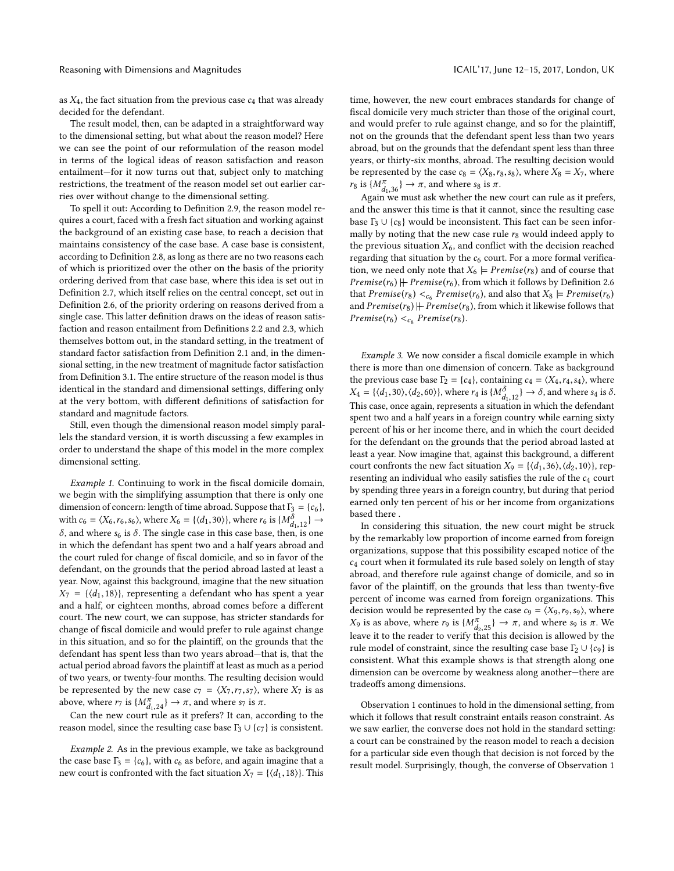as  $X_4$  $X_4$ , the fact situation from the previous case  $c_4$  that was already decided for the defendant.

The result model, then, can be adapted in a straightforward way to the dimensional setting, but what about the reason model? Here we can see the point of our reformulation of the reason model in terms of the logical ideas of reason satisfaction and reason entailment—for it now turns out that, subject only to matching restrictions, the treatment of the reason model set out earlier carries over without change to the dimensional setting.

To spell it out: According to Definition [2.9,](#page-3-1) the reason model requires a court, faced with a fresh fact situation and working against the background of an existing case base, to reach a decision that maintains consistency of the case base. A case base is consistent, according to Definition [2.8,](#page-3-2) as long as there are no two reasons each of which is prioritized over the other on the basis of the priority ordering derived from that case base, where this idea is set out in Definition [2.7,](#page-3-3) which itself relies on the central concept, set out in Definition [2.6,](#page-3-4) of the priority ordering on reasons derived from a single case. This latter definition draws on the ideas of reason satisfaction and reason entailment from Definitions [2.2](#page-1-2) and [2.3,](#page-2-0) which themselves bottom out, in the standard setting, in the treatment of standard factor satisfaction from Definition [2.1](#page-1-3) and, in the dimensional setting, in the new treatment of magnitude factor satisfaction from Definition [3.1.](#page-5-0) The entire structure of the reason model is thus identical in the standard and dimensional settings, differing only at the very bottom, with different definitions of satisfaction for standard and magnitude factors.

Still, even though the dimensional reason model simply parallels the standard version, it is worth discussing a few examples in order to understand the shape of this model in the more complex dimensional setting.

<span id="page-6-0"></span>Example 1. Continuing to work in the fiscal domicile domain, we begin with the simplifying assumption that there is only one dimension of concern: length of time abroad. Suppose that  $\Gamma_3 = \{c_6\}$  $\Gamma_3 = \{c_6\}$  $\Gamma_3 = \{c_6\}$ , with  $c_6 = \langle X_6, r_6, s_6 \rangle$  $c_6 = \langle X_6, r_6, s_6 \rangle$  $c_6 = \langle X_6, r_6, s_6 \rangle$ , where  $X_6 = \{ \langle d_1, 30 \rangle \}$ , where  $r_6$  is  $\{M_{d_1,12}^{\delta} \} \rightarrow \delta$  and where  $s_6$  is  $\delta$ . The single case in this case hase, then is one δ, and where  $s_6$  $s_6$  is δ. The single case in this case base, then, is one in which the defendant has spent two and a half years abroad and the court ruled for change of fiscal domicile, and so in favor of the defendant, on the grounds that the period abroad lasted at least a year. Now, against this background, imagine that the new situation  $X_7 = \{ \langle d_1, 18 \rangle \}$ , representing a defendant who has spent a year and a half, or eighteen months, abroad comes before a different court. The new court, we can suppose, has stricter standards for change of fiscal domicile and would prefer to rule against change in this situation, and so for the plaintiff, on the grounds that the defendant has spent less than two years abroad—that is, that the actual period abroad favors the plaintiff at least as much as a period of two years, or twenty-four months. The resulting decision would be represented by the new case  $c_7 = \langle X_7, r_7, s_7 \rangle$  $c_7 = \langle X_7, r_7, s_7 \rangle$  $c_7 = \langle X_7, r_7, s_7 \rangle$ , where  $X_7$  is as above, where  $r_7$  $r_7$  is  $\{M_{d,24}^{\pi}\}\rightarrow \pi$ , and where  $s_7$  is  $\pi$ .<br>Can the new court rule as it prefers? It can acc

Can the new court rule as it prefers? It can, according to the reason model, since the resulting case base  $\Gamma_3 \cup \{c_7\}$  $\Gamma_3 \cup \{c_7\}$  $\Gamma_3 \cup \{c_7\}$  $\Gamma_3 \cup \{c_7\}$  $\Gamma_3 \cup \{c_7\}$  is consistent.

Example 2. As in the previous example, we take as background the case base  $\Gamma_3 = \{c_6\}$  $\Gamma_3 = \{c_6\}$  $\Gamma_3 = \{c_6\}$  $\Gamma_3 = \{c_6\}$  $\Gamma_3 = \{c_6\}$ , with  $c_6$  as before, and again imagine that a new court is confronted with the fact situation  $X_7 = \{ \langle d_1, 18 \rangle \}$  $X_7 = \{ \langle d_1, 18 \rangle \}$  $X_7 = \{ \langle d_1, 18 \rangle \}$ . This time, however, the new court embraces standards for change of fiscal domicile very much stricter than those of the original court, and would prefer to rule against change, and so for the plaintiff, not on the grounds that the defendant spent less than two years abroad, but on the grounds that the defendant spent less than three years, or thirty-six months, abroad. The resulting decision would be represented by the case  $c_8 = \langle X_8, r_8, s_8 \rangle$  $c_8 = \langle X_8, r_8, s_8 \rangle$  $c_8 = \langle X_8, r_8, s_8 \rangle$ , where  $X_8 = X_7$  $X_8 = X_7$ , where  $r_8$  $r_8$  is  $\{M_{d_1,36}^{\pi}\}\rightarrow \pi$ , and where  $s_8$  is  $\pi$ .<br>Again we must ask whether the new

<span id="page-6-3"></span>Again we must ask whether the new court can rule as it prefers, and the answer this time is that it cannot, since the resulting case base  $\Gamma_3 \cup \{c_8\}$  $\Gamma_3 \cup \{c_8\}$  $\Gamma_3 \cup \{c_8\}$  $\Gamma_3 \cup \{c_8\}$  $\Gamma_3 \cup \{c_8\}$  would be inconsistent. This fact can be seen informally by noting that the new case rule  $r_8$  $r_8$  would indeed apply to the previous situation  $X_6$  $X_6$ , and conflict with the decision reached regarding that situation by the  $c_6$  $c_6$  court. For a more formal verification, we need only note that  $X_6 \models Premise(r_8)$  $X_6 \models Premise(r_8)$  $X_6 \models Premise(r_8)$  $X_6 \models Premise(r_8)$  $X_6 \models Premise(r_8)$  and of course that *Premise*( $r_6$  $r_6$ )  $\neq$  *Premise*( $r_6$ ), from which it follows by Definition [2.6](#page-3-4) that  $Premise(r_8) <_{c_6} Premise(r_6)$  $Premise(r_8) <_{c_6} Premise(r_6)$  $Premise(r_8) <_{c_6} Premise(r_6)$  $Premise(r_8) <_{c_6} Premise(r_6)$  $Premise(r_8) <_{c_6} Premise(r_6)$ , and also that  $X_8 \models Premise(r_6)$ <br>and  $Premise(r_2) \not\models Premise(r_3)$  from which it likewise follows that and  $Premise(r_8)\,\not\!\!\!\!\!\!\!|\; Premise(r_8),$  $Premise(r_8)\,\not\!\!\!\!\!\!\!|\; Premise(r_8),$  $Premise(r_8)\,\not\!\!\!\!\!\!\!|\; Premise(r_8),$  from which it likewise follows that  $Premise(r_6) <_{c_8} Premise(r_8).$  $Premise(r_6) <_{c_8} Premise(r_8).$  $Premise(r_6) <_{c_8} Premise(r_8).$  $Premise(r_6) <_{c_8} Premise(r_8).$  $Premise(r_6) <_{c_8} Premise(r_8).$ 

Example 3. We now consider a fiscal domicile example in which there is more than one dimension of concern. Take as background the previous case base  $\Gamma_2 = \{c_4\}$  $\Gamma_2 = \{c_4\}$  $\Gamma_2 = \{c_4\}$  $\Gamma_2 = \{c_4\}$  $\Gamma_2 = \{c_4\}$ , containing  $c_4 = \langle X_4, r_4, s_4 \rangle$ , where  $X_4 = \{ \langle d_1, 30 \rangle, \langle d_2, 60 \rangle \}$  $X_4 = \{ \langle d_1, 30 \rangle, \langle d_2, 60 \rangle \}$  $X_4 = \{ \langle d_1, 30 \rangle, \langle d_2, 60 \rangle \}$ , where  $r_4$  is  $\{ M_{d_1, 12}^{\delta} \} \rightarrow \delta$ , and where  $s_4$  is  $\delta$ .<br>This case, once again, represents a situation in which the defendant This case, once again, represents a situation in which the defendant spent two and a half years in a foreign country while earning sixty percent of his or her income there, and in which the court decided for the defendant on the grounds that the period abroad lasted at least a year. Now imagine that, against this background, a different court confronts the new fact situation  $X_9 = {\langle d_1, 36 \rangle, \langle d_2, 10 \rangle}$ , representing an individual who easily satisfies the rule of the  $c_4$  $c_4$  court by spending three years in a foreign country, but during that period earned only ten percent of his or her income from organizations based there .

<span id="page-6-4"></span><span id="page-6-2"></span>In considering this situation, the new court might be struck by the remarkably low proportion of income earned from foreign organizations, suppose that this possibility escaped notice of the  $c_4$  $c_4$  court when it formulated its rule based solely on length of stay abroad, and therefore rule against change of domicile, and so in favor of the plaintiff, on the grounds that less than twenty-five percent of income was earned from foreign organizations. This decision would be represented by the case  $c_9 = \langle X_9, r_9, s_9 \rangle$  $c_9 = \langle X_9, r_9, s_9 \rangle$  $c_9 = \langle X_9, r_9, s_9 \rangle$ , where  $X_9$  $X_9$  is as above, where  $r_9$  is  $\{M_{q_2,25}^{\pi}\}\rightarrow \pi$ , and where s<sub>9</sub> is π. We leave it to the reader to verify that this decision is allowed by the leave it to the reader to verify that this decision is allowed by the rule model of constraint, since the resulting case base  $\Gamma_2 \cup \{c_9\}$  $\Gamma_2 \cup \{c_9\}$  $\Gamma_2 \cup \{c_9\}$  $\Gamma_2 \cup \{c_9\}$  $\Gamma_2 \cup \{c_9\}$  is consistent. What this example shows is that strength along one dimension can be overcome by weakness along another—there are tradeoffs among dimensions.

<span id="page-6-1"></span>Observation [1](#page-3-5) continues to hold in the dimensional setting, from which it follows that result constraint entails reason constraint. As we saw earlier, the converse does not hold in the standard setting: a court can be constrained by the reason model to reach a decision for a particular side even though that decision is not forced by the result model. Surprisingly, though, the converse of Observation [1](#page-3-5)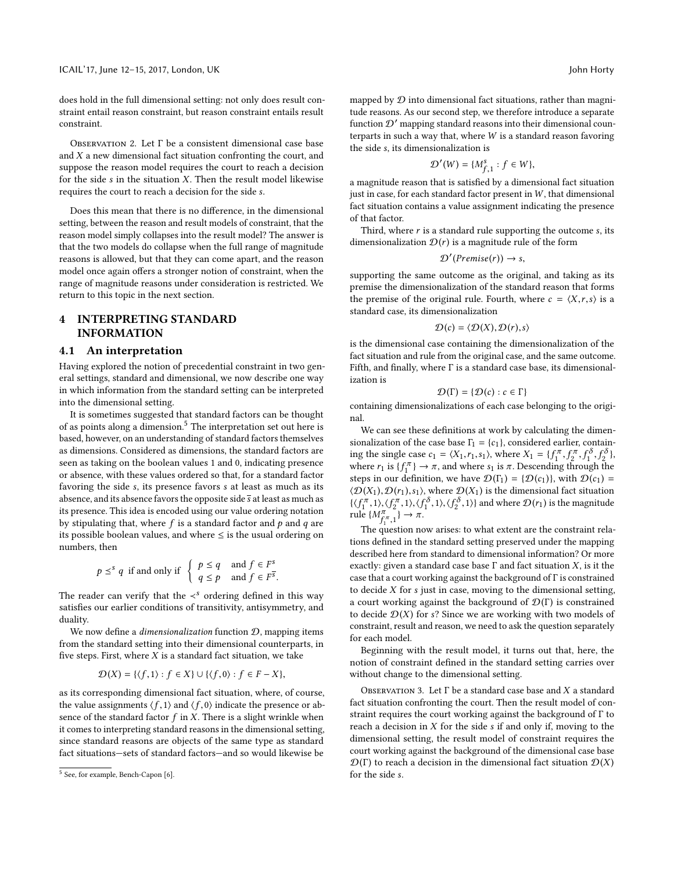does hold in the full dimensional setting: not only does result constraint entail reason constraint, but reason constraint entails result constraint.

<span id="page-7-2"></span>OBSERVATION 2. Let  $\Gamma$  be a consistent dimensional case base and  $X$  a new dimensional fact situation confronting the court, and suppose the reason model requires the court to reach a decision for the side  $s$  in the situation  $X$ . Then the result model likewise requires the court to reach a decision for the side s.

Does this mean that there is no difference, in the dimensional setting, between the reason and result models of constraint, that the reason model simply collapses into the result model? The answer is that the two models do collapse when the full range of magnitude reasons is allowed, but that they can come apart, and the reason model once again offers a stronger notion of constraint, when the range of magnitude reasons under consideration is restricted. We return to this topic in the next section.

# <span id="page-7-0"></span>4 INTERPRETING STANDARD INFORMATION

### 4.1 An interpretation

Having explored the notion of precedential constraint in two general settings, standard and dimensional, we now describe one way in which information from the standard setting can be interpreted into the dimensional setting.

It is sometimes suggested that standard factors can be thought of as points along a dimension.<sup>[5](#page-7-1)</sup> The interpretation set out here is based, however, on an understanding of standard factors themselves as dimensions. Considered as dimensions, the standard factors are seen as taking on the boolean values 1 and 0, indicating presence or absence, with these values ordered so that, for a standard factor favoring the side s, its presence favors s at least as much as its absence, and its absence favors the opposite side  $\bar{s}$  at least as much as its presence. This idea is encoded using our value ordering notation by stipulating that, where  $f$  is a standard factor and  $p$  and  $q$  are its possible boolean values, and where  $\leq$  is the usual ordering on numbers, then

$$
p \leq^s q \text{ if and only if } \begin{cases} p \leq q & \text{and } f \in F^s \\ q \leq p & \text{and } f \in F^{\overline{s}} \end{cases}
$$

The reader can verify that the  $\lt^s$  ordering defined in this way satisfies our earlier conditions of transitivity, antisymmetry, and duality.

We now define a *dimensionalization* function  $D$ , mapping items from the standard setting into their dimensional counterparts, in five steps. First, where  $X$  is a standard fact situation, we take

$$
\mathcal{D}(X) = \{ \langle f, 1 \rangle : f \in X \} \cup \{ \langle f, 0 \rangle : f \in F - X \},
$$

as its corresponding dimensional fact situation, where, of course, the value assignments  $\langle f, 1 \rangle$  and  $\langle f, 0 \rangle$  indicate the presence or absence of the standard factor  $f$  in  $X$ . There is a slight wrinkle when it comes to interpreting standard reasons in the dimensional setting, since standard reasons are objects of the same type as standard fact situations—sets of standard factors—and so would likewise be

mapped by  $D$  into dimensional fact situations, rather than magnitude reasons. As our second step, we therefore introduce a separate function  $\mathcal{D}'$  mapping standard reasons into their dimensional counterparts in such a way that, where  $W$  is a standard reason favoring the side s, its dimensionalization is

$$
\mathcal{D}'(W) = \{M_{f,1}^s : f \in W\},\
$$

 $\mathcal{D}(W) = \{M_{f,1} : f \in W\},$ <br>a magnitude reason that is satisfied by a dimensional fact situation just in case, for each standard factor present in  $W$ , that dimensional fact situation contains a value assignment indicating the presence of that factor.

Third, where  $r$  is a standard rule supporting the outcome  $s$ , its dimensionalization  $\mathcal{D}(r)$  is a magnitude rule of the form

$$
\mathcal{D}'(Premise(r)) \to s,
$$

supporting the same outcome as the original, and taking as its premise the dimensionalization of the standard reason that forms the premise of the original rule. Fourth, where  $c = \langle X, r, s \rangle$  is a standard case, its dimensionalization

$$
\mathcal{D}(c) = \langle \mathcal{D}(X), \mathcal{D}(r), s \rangle
$$

 $D(c) = \langle D(X), D(r), s \rangle$ <br>is the dimensional case containing the dimensionalization of the fact situation and rule from the original case, and the same outcome. Fifth, and finally, where Γ is a standard case base, its dimensionalization is

$$
\mathcal{D}(\Gamma) = \{ \mathcal{D}(c) : c \in \Gamma \}
$$

 $D(\Gamma) = \{D(c) : c \in \Gamma\}$ <br>containing dimensionalizations of each case belonging to the original.

We can see these definitions at work by calculating the dimensionalization of the case base  $\Gamma_1 = \{c_1\}$  $\Gamma_1 = \{c_1\}$  $\Gamma_1 = \{c_1\}$ , considered earlier, containing the single case  $c_1 = \langle X_1, r_1, s_1 \rangle$  $c_1 = \langle X_1, r_1, s_1 \rangle$  $c_1 = \langle X_1, r_1, s_1 \rangle$ , where  $X_1 = \{f_1^{\pi}, f_2^{\pi}, f_1^{\delta}, f_2^{\delta}\}$ ,<br>where r, is  $\{f^{\pi}\} \rightarrow \pi$  and where s, is  $\pi$ . Descending through the where  $r_1$  $r_1$  is  $\{f_1^{\pi}\} \to \pi$ , and where  $s_1$  is  $\pi$ . Descending through the stars in our definition we have  $\mathcal{D}(\Gamma_1) = \{ \mathcal{D}(c_1) \}$  with  $\mathcal{D}(c_2)$ steps in our definition, we have  $\mathcal{D}(\Gamma_1) = \{ \mathcal{D}(c_1) \}$  $\mathcal{D}(\Gamma_1) = \{ \mathcal{D}(c_1) \}$  $\mathcal{D}(\Gamma_1) = \{ \mathcal{D}(c_1) \}$ , with  $\mathcal{D}(c_1)$  =  $\langle \mathcal{D}(X_1), \mathcal{D}(r_1), s_1 \rangle$  $\langle \mathcal{D}(X_1), \mathcal{D}(r_1), s_1 \rangle$  $\langle \mathcal{D}(X_1), \mathcal{D}(r_1), s_1 \rangle$ , where  $\mathcal{D}(X_1)$  is the dimensional fact situation  $\{\langle f_1^{\pi}, 1 \rangle, \langle f_2^{\pi}, 1 \rangle, \langle f_2^{\delta}, 1 \rangle\}$  $\{\langle f_1^{\pi}, 1 \rangle, \langle f_2^{\pi}, 1 \rangle, \langle f_2^{\delta}, 1 \rangle\}$  $\{\langle f_1^{\pi}, 1 \rangle, \langle f_2^{\pi}, 1 \rangle, \langle f_2^{\delta}, 1 \rangle\}$  and where  $\mathcal{D}(r_1)$  is the magnitude<br>rule  $\{M^{\pi}$   $\} \rightarrow \pi$ rule  $\{M_{f_1^{\pi},1}^{\pi}\}\rightarrow \pi$ .<br>The question no

The question now arises: to what extent are the constraint relations defined in the standard setting preserved under the mapping described here from standard to dimensional information? Or more exactly: given a standard case base  $\Gamma$  and fact situation X, is it the case that a court working against the background of Γ is constrained to decide  $X$  for  $s$  just in case, moving to the dimensional setting, a court working against the background of  $\mathcal{D}(\Gamma)$  is constrained to decide  $\mathcal{D}(X)$  for s? Since we are working with two models of constraint, result and reason, we need to ask the question separately for each model.

Beginning with the result model, it turns out that, here, the notion of constraint defined in the standard setting carries over without change to the dimensional setting.

OBSERVATION 3. Let  $\Gamma$  be a standard case base and  $X$  a standard fact situation confronting the court. Then the result model of constraint requires the court working against the background of Γ to reach a decision in  $X$  for the side  $s$  if and only if, moving to the dimensional setting, the result model of constraint requires the court working against the background of the dimensional case base  $\mathcal{D}(\Gamma)$  to reach a decision in the dimensional fact situation  $\mathcal{D}(X)$ for the side s.

<span id="page-7-1"></span><sup>&</sup>lt;sup>5</sup> See, for example, Bench-Capon [\[6\]](#page-9-19).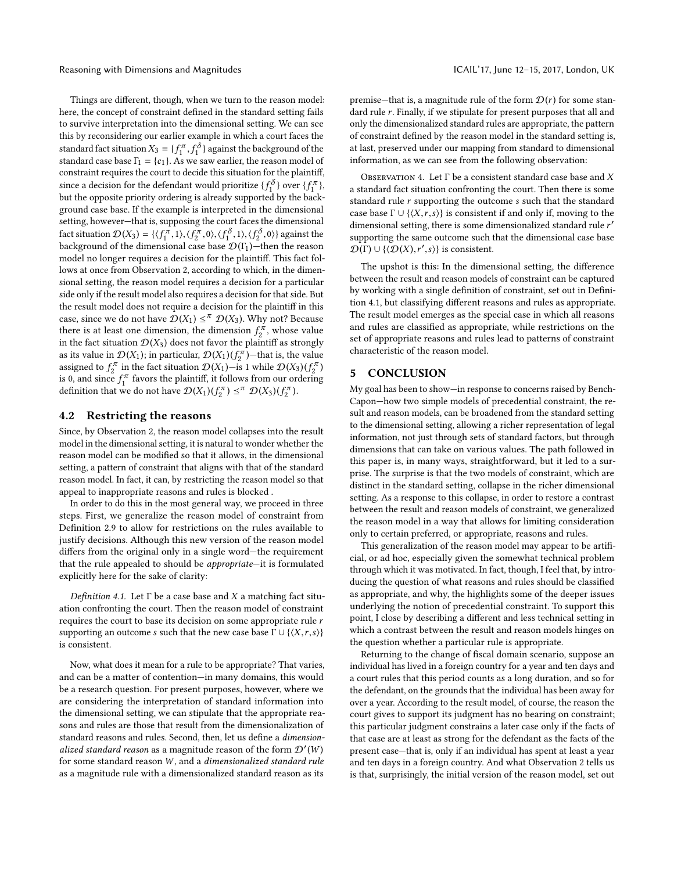Reasoning with Dimensions and Magnitudes ICAIL'17, June 12–15, 2017, London, UK

Things are different, though, when we turn to the reason model: here, the concept of constraint defined in the standard setting fails to survive interpretation into the dimensional setting. We can see this by reconsidering our earlier example in which a court faces the standard fact situation  $X_3 = \{f_1^{\pi}, f_1^{\delta}\}$  $X_3 = \{f_1^{\pi}, f_1^{\delta}\}$  $X_3 = \{f_1^{\pi}, f_1^{\delta}\}$  against the background of the standard case base  $\Gamma_1 = \{g_1\}$ , As we saw earlier the reason model of standard case base  $\Gamma_1 = \{c_1\}$  $\Gamma_1 = \{c_1\}$  $\Gamma_1 = \{c_1\}$ . As we saw earlier, the reason model of constraint requires the court to decide this situation for the plaintiff constraint requires the court to decide this situation for the plaintiff, since a decision for the defendant would prioritize  $\{f_1^{\delta}\}\$  over  $\{f_1^{\pi}\}\$ , but the opposite priority ordering is already supported by the hackbut the opposite priority ordering is already supported by the background case base. If the example is interpreted in the dimensional setting, however—that is, supposing the court faces the dimensional fact situation  $\mathcal{D}(X_3) = \{(\mathcal{f}_1^{\pi}, 1), (\mathcal{f}_2^{\pi}, 0), (\mathcal{f}_1^{\delta}, 1), (\mathcal{f}_2^{\delta}, 0)\}$  $\mathcal{D}(X_3) = \{(\mathcal{f}_1^{\pi}, 1), (\mathcal{f}_2^{\pi}, 0), (\mathcal{f}_1^{\delta}, 1), (\mathcal{f}_2^{\delta}, 0)\}$  $\mathcal{D}(X_3) = \{(\mathcal{f}_1^{\pi}, 1), (\mathcal{f}_2^{\pi}, 0), (\mathcal{f}_1^{\delta}, 1), (\mathcal{f}_2^{\delta}, 0)\}$  against the hardcomain case has  $\mathcal{D}(\Gamma)$  then the reason background of the dimensional case base  $\mathcal{D}(\Gamma_1)$  $\mathcal{D}(\Gamma_1)$  $\mathcal{D}(\Gamma_1)$ —then the reason<br>model no longer requires a decision for the plaintiff. This fact folmodel no longer requires a decision for the plaintiff. This fact follows at once from Observation [2,](#page-7-2) according to which, in the dimensional setting, the reason model requires a decision for a particular side only if the result model also requires a decision for that side. But the result model does not require a decision for the plaintiff in this case, since we do not have  $\mathcal{D}(X_1) \leq^{\pi} \mathcal{D}(X_3)$  $\mathcal{D}(X_1) \leq^{\pi} \mathcal{D}(X_3)$  $\mathcal{D}(X_1) \leq^{\pi} \mathcal{D}(X_3)$  $\mathcal{D}(X_1) \leq^{\pi} \mathcal{D}(X_3)$  $\mathcal{D}(X_1) \leq^{\pi} \mathcal{D}(X_3)$ . Why not? Because there is at least one dimension, the dimension  $f_2^{\pi}$ , whose value<br>in the fact situation  $\mathcal{D}(X_2)$  does not favor the plaintiff as strongly in the fact situation  $\mathcal{D}(X_3)$  $\mathcal{D}(X_3)$  $\mathcal{D}(X_3)$  does not favor the plaintiff as strongly as its value in  $\mathcal{D}(X_1)$  $\mathcal{D}(X_1)$  $\mathcal{D}(X_1)$ ; in particular,  $\mathcal{D}(X_1)(f_2^{\pi})$ —that is, the value<br>assigned to  $f^{\pi}$  in the fact situation  $\mathcal{D}(X_1)$ —is 1 while  $\mathcal{D}(X_2)(f^{\pi})$ assigned to  $f_{\lambda}^{\pi}$  in the fact situation  $\mathcal{D}(X_1)$  $\mathcal{D}(X_1)$  $\mathcal{D}(X_1)$ —is 1 while  $\mathcal{D}(X_3)(f_{\lambda}^{\pi})$  $\mathcal{D}(X_3)(f_{\lambda}^{\pi})$  $\mathcal{D}(X_3)(f_{\lambda}^{\pi})$ <br>is 0 and since  $f^{\pi}$  fouors the plaintiff it follows from our ordering is 0, and since  $f_1^{\pi}$  favors the plaintiff, it follows from our ordering<br>definition that we do not have  $\mathcal{D}(X_1)(f\pi) \prec \pi \mathcal{D}(X_2)(f\pi)$ definition that we do not have  $\mathcal{D}(X_1)(f_2^{\pi}) \preceq^{\pi} \mathcal{D}(X_3)(f_2^{\pi})$  $\mathcal{D}(X_1)(f_2^{\pi}) \preceq^{\pi} \mathcal{D}(X_3)(f_2^{\pi})$  $\mathcal{D}(X_1)(f_2^{\pi}) \preceq^{\pi} \mathcal{D}(X_3)(f_2^{\pi})$  $\mathcal{D}(X_1)(f_2^{\pi}) \preceq^{\pi} \mathcal{D}(X_3)(f_2^{\pi})$  $\mathcal{D}(X_1)(f_2^{\pi}) \preceq^{\pi} \mathcal{D}(X_3)(f_2^{\pi})$ .

## 4.2 Restricting the reasons

Since, by Observation [2,](#page-7-2) the reason model collapses into the result model in the dimensional setting, it is natural to wonder whether the reason model can be modified so that it allows, in the dimensional setting, a pattern of constraint that aligns with that of the standard reason model. In fact, it can, by restricting the reason model so that appeal to inappropriate reasons and rules is blocked .

In order to do this in the most general way, we proceed in three steps. First, we generalize the reason model of constraint from Definition [2.9](#page-3-1) to allow for restrictions on the rules available to justify decisions. Although this new version of the reason model differs from the original only in a single word—the requirement that the rule appealed to should be appropriate—it is formulated explicitly here for the sake of clarity:

<span id="page-8-0"></span>Definition 4.1. Let  $\Gamma$  be a case base and X a matching fact situation confronting the court. Then the reason model of constraint requires the court to base its decision on some appropriate rule r supporting an outcome s such that the new case base  $\Gamma \cup \{ \langle X, r, s \rangle \}$ is consistent.

Now, what does it mean for a rule to be appropriate? That varies, and can be a matter of contention—in many domains, this would be a research question. For present purposes, however, where we are considering the interpretation of standard information into the dimensional setting, we can stipulate that the appropriate reasons and rules are those that result from the dimensionalization of standard reasons and rules. Second, then, let us define a dimensionalized standard reason as a magnitude reason of the form  $\mathcal{D}'(W)$ for some standard reason  $W$ , and a *dimensionalized standard rule*<br>as a magnitude rule with a dimensionalized standard reason as its as a magnitude rule with a dimensionalized standard reason as its

premise—that is, a magnitude rule of the form  $\mathcal{D}(r)$  for some standard rule r. Finally, if we stipulate for present purposes that all and only the dimensionalized standard rules are appropriate, the pattern of constraint defined by the reason model in the standard setting is, at last, preserved under our mapping from standard to dimensional information, as we can see from the following observation:

OBSERVATION 4. Let  $\Gamma$  be a consistent standard case base and  $X$ a standard fact situation confronting the court. Then there is some standard rule  $r$  supporting the outcome  $s$  such that the standard case base  $\Gamma \cup \{ \langle X, r, s \rangle \}$  is consistent if and only if, moving to the dimensional setting, there is some dimensionalized standard rule r'<br>supporting the same outcome such that the dimensional case base supporting the same outcome such that the dimensional case base  $\mathcal{D}(\Gamma) \cup \{ \langle \mathcal{D}(X), r', s \rangle \}$  is consistent.

The upshot is this: In the dimensional setting, the difference between the result and reason models of constraint can be captured by working with a single definition of constraint, set out in Definition [4.1,](#page-8-0) but classifying different reasons and rules as appropriate. The result model emerges as the special case in which all reasons and rules are classified as appropriate, while restrictions on the set of appropriate reasons and rules lead to patterns of constraint characteristic of the reason model.

## 5 CONCLUSION

My goal has been to show—in response to concerns raised by Bench-Capon—how two simple models of precedential constraint, the result and reason models, can be broadened from the standard setting to the dimensional setting, allowing a richer representation of legal information, not just through sets of standard factors, but through dimensions that can take on various values. The path followed in this paper is, in many ways, straightforward, but it led to a surprise. The surprise is that the two models of constraint, which are distinct in the standard setting, collapse in the richer dimensional setting. As a response to this collapse, in order to restore a contrast between the result and reason models of constraint, we generalized the reason model in a way that allows for limiting consideration only to certain preferred, or appropriate, reasons and rules.

This generalization of the reason model may appear to be artificial, or ad hoc, especially given the somewhat technical problem through which it was motivated. In fact, though, I feel that, by introducing the question of what reasons and rules should be classified as appropriate, and why, the highlights some of the deeper issues underlying the notion of precedential constraint. To support this point, I close by describing a different and less technical setting in which a contrast between the result and reason models hinges on the question whether a particular rule is appropriate.

Returning to the change of fiscal domain scenario, suppose an individual has lived in a foreign country for a year and ten days and a court rules that this period counts as a long duration, and so for the defendant, on the grounds that the individual has been away for over a year. According to the result model, of course, the reason the court gives to support its judgment has no bearing on constraint; this particular judgment constrains a later case only if the facts of that case are at least as strong for the defendant as the facts of the present case—that is, only if an individual has spent at least a year and ten days in a foreign country. And what Observation [2](#page-7-2) tells us is that, surprisingly, the initial version of the reason model, set out